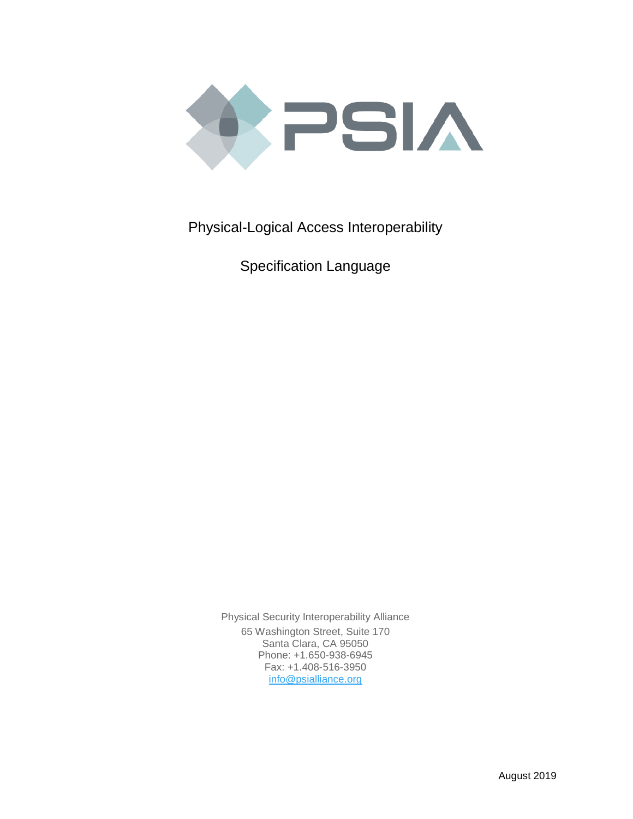

Physical-Logical Access Interoperability

Specification Language

Physical Security Interoperability Alliance 65 Washington Street, Suite 170 Santa Clara, CA 95050 Phone: +1.650-938-6945 Fax: +1.408-516-3950 [info@psialliance.org](mailto:info@psialliance.org)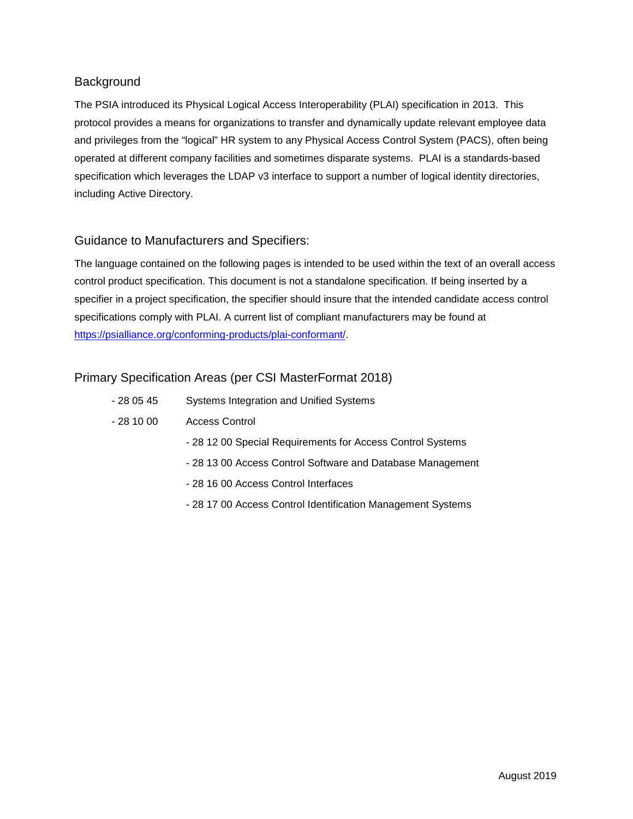# **Background**

The PSIA introduced its Physical Logical Access Interoperability (PLAI) specification in 2013. This protocol provides a means for organizations to transfer and dynamically update relevant employee data and privileges from the "logical" HR system to any Physical Access Control System (PACS), often being operated at different company facilities and sometimes disparate systems. PLAI is a standards-based specification which leverages the LDAP v3 interface to support a number of logical identity directories, including Active Directory.

## Guidance to Manufacturers and Specifiers:

The language contained on the following pages is intended to be used within the text of an overall access control product specification. This document is not a standalone specification. If being inserted by a specifier in a project specification, the specifier should insure that the intended candidate access control specifications comply with PLAI. A current list of compliant manufacturers may be found at [https://psialliance.org/conforming-products/plai-conformant/.](https://psialliance.org/conforming-products/plai-conformant/)

## Primary Specification Areas (per CSI MasterFormat 2018)

- 28 05 45 Systems Integration and Unified Systems
- 28 10 00 Access Control
	- 28 12 00 Special Requirements for Access Control Systems
	- 28 13 00 Access Control Software and Database Management
	- 28 16 00 Access Control Interfaces
	- 28 17 00 Access Control Identification Management Systems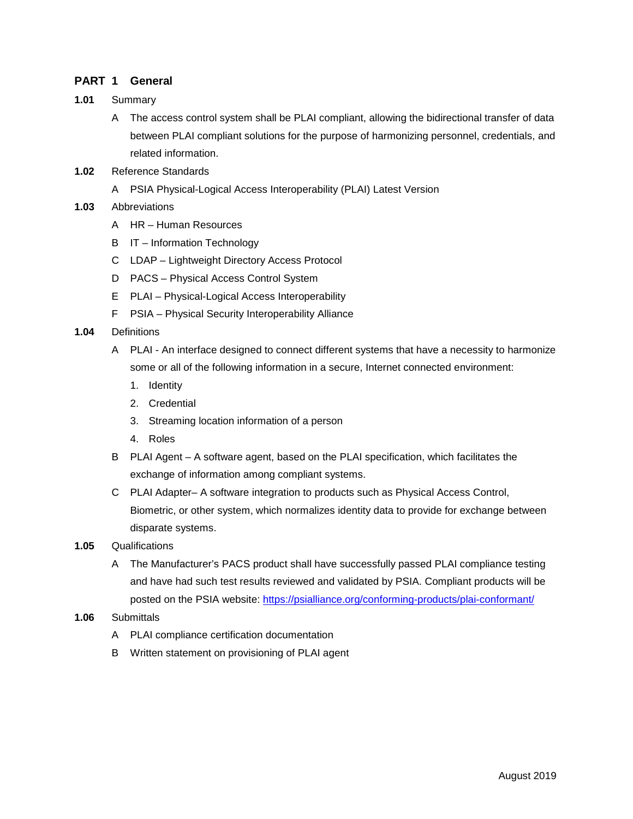#### **PART 1 General**

- **1.01** Summary
	- A The access control system shall be PLAI compliant, allowing the bidirectional transfer of data between PLAI compliant solutions for the purpose of harmonizing personnel, credentials, and related information.
- **1.02** Reference Standards
	- A PSIA Physical-Logical Access Interoperability (PLAI) Latest Version
- **1.03** Abbreviations
	- A HR Human Resources
	- B IT Information Technology
	- C LDAP Lightweight Directory Access Protocol
	- D PACS Physical Access Control System
	- E PLAI Physical-Logical Access Interoperability
	- F PSIA Physical Security Interoperability Alliance
- **1.04** Definitions
	- A PLAI An interface designed to connect different systems that have a necessity to harmonize some or all of the following information in a secure, Internet connected environment:
		- 1. Identity
		- 2. Credential
		- 3. Streaming location information of a person
		- 4. Roles
	- B PLAI Agent A software agent, based on the PLAI specification, which facilitates the exchange of information among compliant systems.
	- C PLAI Adapter– A software integration to products such as Physical Access Control, Biometric, or other system, which normalizes identity data to provide for exchange between disparate systems.
- **1.05** Qualifications
	- A The Manufacturer's PACS product shall have successfully passed PLAI compliance testing and have had such test results reviewed and validated by PSIA. Compliant products will be posted on the PSIA website:<https://psialliance.org/conforming-products/plai-conformant/>
- **1.06** Submittals
	- A PLAI compliance certification documentation
	- B Written statement on provisioning of PLAI agent